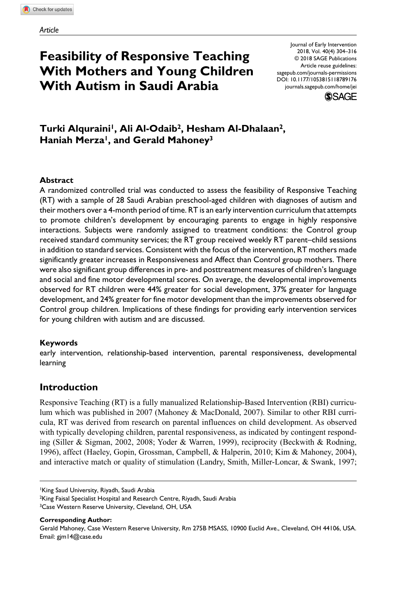# **Feasibility of Responsive Teaching With Mothers and Young Children With Autism in Saudi Arabia**

https://doi.org/10.1177/1053815118789176 DOI: 10.1177/1053815118789176 Journal of Early Intervention 2018, Vol. 40(4) 304–316 © 2018 SAGE Publications Article reuse guidelines: [sagepub.com/journals-permissions](https://us.sagepub.com/en-us/journals-permissions) [journals.sagepub.com/home/jei](https://journals.sagepub.com/home/jei)



# **Turki Alquraini1, Ali Al-Odaib2, Hesham Al-Dhalaan2,**  Haniah Merza<sup>1</sup>, and Gerald Mahoney<sup>3</sup>

### **Abstract**

A randomized controlled trial was conducted to assess the feasibility of Responsive Teaching (RT) with a sample of 28 Saudi Arabian preschool-aged children with diagnoses of autism and their mothers over a 4-month period of time. RT is an early intervention curriculum that attempts to promote children's development by encouraging parents to engage in highly responsive interactions. Subjects were randomly assigned to treatment conditions: the Control group received standard community services; the RT group received weekly RT parent–child sessions in addition to standard services. Consistent with the focus of the intervention, RT mothers made significantly greater increases in Responsiveness and Affect than Control group mothers. There were also significant group differences in pre- and posttreatment measures of children's language and social and fine motor developmental scores. On average, the developmental improvements observed for RT children were 44% greater for social development, 37% greater for language development, and 24% greater for fine motor development than the improvements observed for Control group children. Implications of these findings for providing early intervention services for young children with autism and are discussed.

### **Keywords**

early intervention, relationship-based intervention, parental responsiveness, developmental learning

### **Introduction**

Responsive Teaching (RT) is a fully manualized Relationship-Based Intervention (RBI) curriculum which was published in 2007 (Mahoney & MacDonald, 2007). Similar to other RBI curricula, RT was derived from research on parental influences on child development. As observed with typically developing children, parental responsiveness, as indicated by contingent responding (Siller & Sigman, 2002, 2008; Yoder & Warren, 1999), reciprocity (Beckwith & Rodning, 1996), affect (Haeley, Gopin, Grossman, Campbell, & Halperin, 2010; Kim & Mahoney, 2004), and interactive match or quality of stimulation (Landry, Smith, Miller-Loncar, & Swank, 1997;

**Corresponding Author:** Gerald Mahoney, Case Western Reserve University, Rm 275B MSASS, 10900 Euclid Ave., Cleveland, OH 44106, USA. Email: [gjm14@case.edu](mailto:gjm14@case.edu)

<sup>1</sup>King Saud University, Riyadh, Saudi Arabia

<sup>2</sup>King Faisal Specialist Hospital and Research Centre, Riyadh, Saudi Arabia <sup>3</sup>Case Western Reserve University, Cleveland, OH, USA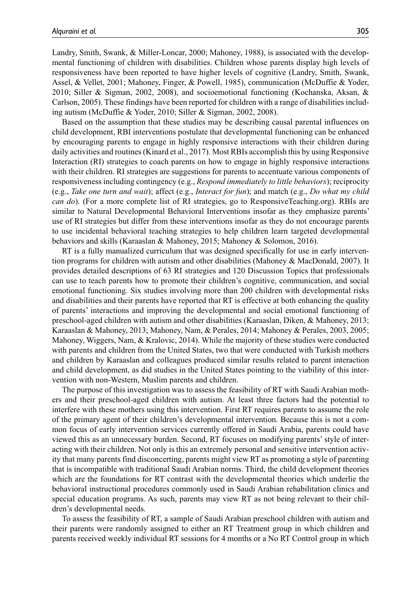Landry, Smith, Swank, & Miller-Loncar, 2000; Mahoney, 1988), is associated with the developmental functioning of children with disabilities. Children whose parents display high levels of responsiveness have been reported to have higher levels of cognitive (Landry, Smith, Swank, Assel, & Vellet, 2001; Mahoney, Finger, & Powell, 1985), communication (McDuffie & Yoder, 2010; Siller & Sigman, 2002, 2008), and socioemotional functioning (Kochanska, Aksan, & Carlson, 2005). These findings have been reported for children with a range of disabilities including autism (McDuffie & Yoder, 2010; Siller & Sigman, 2002, 2008).

Based on the assumption that these studies may be describing causal parental influences on child development, RBI interventions postulate that developmental functioning can be enhanced by encouraging parents to engage in highly responsive interactions with their children during daily activities and routines (Kinard et al., 2017). Most RBIs accomplish this by using Responsive Interaction (RI) strategies to coach parents on how to engage in highly responsive interactions with their children. RI strategies are suggestions for parents to accentuate various components of responsiveness including contingency (e.g., *Respond immediately to little behaviors*); reciprocity (e.g., *Take one turn and wait*); affect (e.g., *Interact for fun*); and match (e.g., *Do what my child can do*). (For a more complete list of RI strategies, go to ResponsiveTeaching.org). RBIs are similar to Natural Developmental Behavioral Interventions insofar as they emphasize parents' use of RI strategies but differ from these interventions insofar as they do not encourage parents to use incidental behavioral teaching strategies to help children learn targeted developmental behaviors and skills (Karaaslan & Mahoney, 2015; Mahoney & Solomon, 2016).

RT is a fully manualized curriculum that was designed specifically for use in early intervention programs for children with autism and other disabilities (Mahoney & MacDonald, 2007). It provides detailed descriptions of 63 RI strategies and 120 Discussion Topics that professionals can use to teach parents how to promote their children's cognitive, communication, and social emotional functioning. Six studies involving more than 200 children with developmental risks and disabilities and their parents have reported that RT is effective at both enhancing the quality of parents' interactions and improving the developmental and social emotional functioning of preschool-aged children with autism and other disabilities (Karaaslan, Diken, & Mahoney, 2013; Karaaslan & Mahoney, 2013; Mahoney, Nam, & Perales, 2014; Mahoney & Perales, 2003, 2005; Mahoney, Wiggers, Nam, & Kralovic, 2014). While the majority of these studies were conducted with parents and children from the United States, two that were conducted with Turkish mothers and children by Karaaslan and colleagues produced similar results related to parent interaction and child development, as did studies in the United States pointing to the viability of this intervention with non-Western, Muslim parents and children.

The purpose of this investigation was to assess the feasibility of RT with Saudi Arabian mothers and their preschool-aged children with autism. At least three factors had the potential to interfere with these mothers using this intervention. First RT requires parents to assume the role of the primary agent of their children's developmental intervention. Because this is not a common focus of early intervention services currently offered in Saudi Arabia, parents could have viewed this as an unnecessary burden. Second, RT focuses on modifying parents' style of interacting with their children. Not only is this an extremely personal and sensitive intervention activity that many parents find disconcerting, parents might view RT as promoting a style of parenting that is incompatible with traditional Saudi Arabian norms. Third, the child development theories which are the foundations for RT contrast with the developmental theories which underlie the behavioral instructional procedures commonly used in Saudi Arabian rehabilitation clinics and special education programs. As such, parents may view RT as not being relevant to their children's developmental needs.

To assess the feasibility of RT, a sample of Saudi Arabian preschool children with autism and their parents were randomly assigned to either an RT Treatment group in which children and parents received weekly individual RT sessions for 4 months or a No RT Control group in which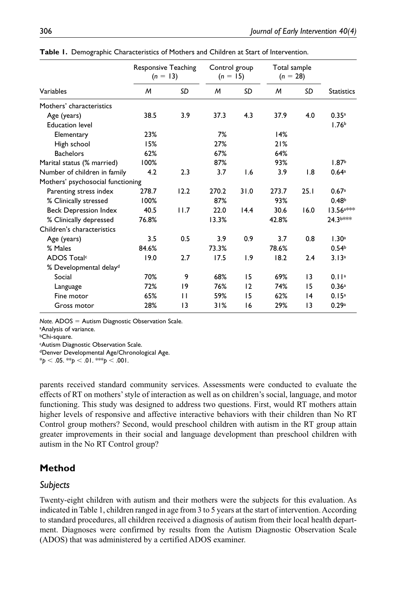|                                    | <b>Responsive Teaching</b><br>$(n = 13)$ |      | Control group<br>$(n = 15)$ |      | Total sample<br>$(n = 28)$ |                 |                         |
|------------------------------------|------------------------------------------|------|-----------------------------|------|----------------------------|-----------------|-------------------------|
| Variables                          | M                                        | SD   | м                           | SD   | м                          | SD              | <b>Statistics</b>       |
| Mothers' characteristics           |                                          |      |                             |      |                            |                 |                         |
| Age (years)                        | 38.5                                     | 3.9  | 37.3                        | 4.3  | 37.9                       | 4.0             | 0.35a                   |
| <b>Education level</b>             |                                          |      |                             |      |                            |                 | 1.76 <sup>b</sup>       |
| Elementary                         | 23%                                      |      | 7%                          |      | 14%                        |                 |                         |
| High school                        | 15%                                      |      | 27%                         |      | 21%                        |                 |                         |
| <b>Bachelors</b>                   | 62%                                      |      | 67%                         |      | 64%                        |                 |                         |
| Marital status (% married)         | 100%                                     |      | 87%                         |      | 93%                        |                 | 1.87 <sup>b</sup>       |
| Number of children in family       | 4.2                                      | 2.3  | 3.7                         | 1.6  | 3.9                        | 1.8             | 0.64 <sup>a</sup>       |
| Mothers' psychosocial functioning  |                                          |      |                             |      |                            |                 |                         |
| Parenting stress index             | 278.7                                    | 12.2 | 270.2                       | 31.0 | 273.7                      | 25.1            | 0.67a                   |
| % Clinically stressed              | 100%                                     |      | 87%                         |      | 93%                        |                 | 0.48 <sup>b</sup>       |
| <b>Beck Depression Index</b>       | 40.5                                     | 11.7 | 22.0                        | 14.4 | 30.6                       | 16.0            | $13.56$ <sup>a***</sup> |
| % Clinically depressed             | 76.8%                                    |      | 13.3%                       |      | 42.8%                      |                 | 24.3b***                |
| Children's characteristics         |                                          |      |                             |      |                            |                 |                         |
| Age (years)                        | 3.5                                      | 0.5  | 3.9                         | 0.9  | 3.7                        | 0.8             | 1.30 <sup>a</sup>       |
| % Males                            | 84.6%                                    |      | 73.3%                       |      | 78.6%                      |                 | 0.54 <sup>b</sup>       |
| <b>ADOS Total<sup>c</sup></b>      | 19.0                                     | 2.7  | 17.5                        | 1.9  | 18.2                       | 2.4             | 3.13a                   |
| % Developmental delay <sup>d</sup> |                                          |      |                             |      |                            |                 |                         |
| Social                             | 70%                                      | 9    | 68%                         | 15   | 69%                        | $\overline{13}$ | 0.11a                   |
| Language                           | 72%                                      | 9    | 76%                         | 12   | 74%                        | 15              | 0.36a                   |
| Fine motor                         | 65%                                      | Ħ    | 59%                         | 15   | 62%                        | $\overline{14}$ | 0.15 <sup>a</sup>       |
| Gross motor                        | 28%                                      | 13   | 31%                         | 16   | 29%                        | $\overline{13}$ | 0.29a                   |

**Table 1.** Demographic Characteristics of Mothers and Children at Start of Intervention.

*Note.* ADOS = Autism Diagnostic Observation Scale.

a Analysis of variance.

bChi-square.

cAutism Diagnostic Observation Scale.

dDenver Developmental Age/Chronological Age.

 $*$ *p* < .05.  $*$ *\*p* < .01.  $*$ *\*\*p* < .001.

parents received standard community services. Assessments were conducted to evaluate the effects of RT on mothers' style of interaction as well as on children's social, language, and motor functioning. This study was designed to address two questions. First, would RT mothers attain higher levels of responsive and affective interactive behaviors with their children than No RT Control group mothers? Second, would preschool children with autism in the RT group attain greater improvements in their social and language development than preschool children with autism in the No RT Control group?

# **Method**

### *Subjects*

Twenty-eight children with autism and their mothers were the subjects for this evaluation. As indicated in Table 1, children ranged in age from 3 to 5 years at the start of intervention. According to standard procedures, all children received a diagnosis of autism from their local health department. Diagnoses were confirmed by results from the Autism Diagnostic Observation Scale (ADOS) that was administered by a certified ADOS examiner.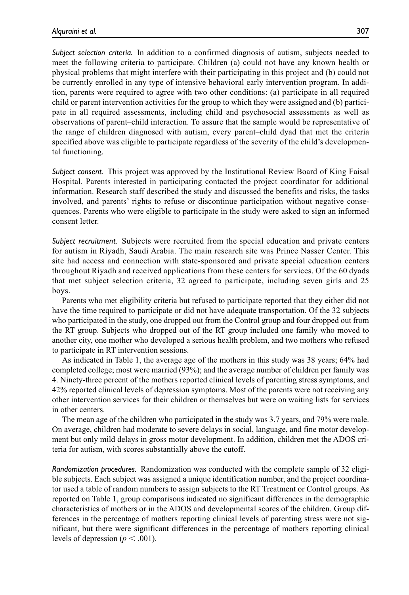*Subject selection criteria.* In addition to a confirmed diagnosis of autism, subjects needed to meet the following criteria to participate. Children (a) could not have any known health or physical problems that might interfere with their participating in this project and (b) could not be currently enrolled in any type of intensive behavioral early intervention program. In addition, parents were required to agree with two other conditions: (a) participate in all required child or parent intervention activities for the group to which they were assigned and (b) participate in all required assessments, including child and psychosocial assessments as well as observations of parent–child interaction. To assure that the sample would be representative of the range of children diagnosed with autism, every parent–child dyad that met the criteria specified above was eligible to participate regardless of the severity of the child's developmental functioning.

*Subject consent.* This project was approved by the Institutional Review Board of King Faisal Hospital. Parents interested in participating contacted the project coordinator for additional information. Research staff described the study and discussed the benefits and risks, the tasks involved, and parents' rights to refuse or discontinue participation without negative consequences. Parents who were eligible to participate in the study were asked to sign an informed consent letter.

*Subject recruitment.* Subjects were recruited from the special education and private centers for autism in Riyadh, Saudi Arabia. The main research site was Prince Nasser Center. This site had access and connection with state-sponsored and private special education centers throughout Riyadh and received applications from these centers for services. Of the 60 dyads that met subject selection criteria, 32 agreed to participate, including seven girls and 25 boys.

Parents who met eligibility criteria but refused to participate reported that they either did not have the time required to participate or did not have adequate transportation. Of the 32 subjects who participated in the study, one dropped out from the Control group and four dropped out from the RT group. Subjects who dropped out of the RT group included one family who moved to another city, one mother who developed a serious health problem, and two mothers who refused to participate in RT intervention sessions.

As indicated in Table 1, the average age of the mothers in this study was 38 years; 64% had completed college; most were married (93%); and the average number of children per family was 4. Ninety-three percent of the mothers reported clinical levels of parenting stress symptoms, and 42% reported clinical levels of depression symptoms. Most of the parents were not receiving any other intervention services for their children or themselves but were on waiting lists for services in other centers.

The mean age of the children who participated in the study was 3.7 years, and 79% were male. On average, children had moderate to severe delays in social, language, and fine motor development but only mild delays in gross motor development. In addition, children met the ADOS criteria for autism, with scores substantially above the cutoff.

*Randomization procedures.* Randomization was conducted with the complete sample of 32 eligible subjects. Each subject was assigned a unique identification number, and the project coordinator used a table of random numbers to assign subjects to the RT Treatment or Control groups. As reported on Table 1, group comparisons indicated no significant differences in the demographic characteristics of mothers or in the ADOS and developmental scores of the children. Group differences in the percentage of mothers reporting clinical levels of parenting stress were not significant, but there were significant differences in the percentage of mothers reporting clinical levels of depression ( $p < .001$ ).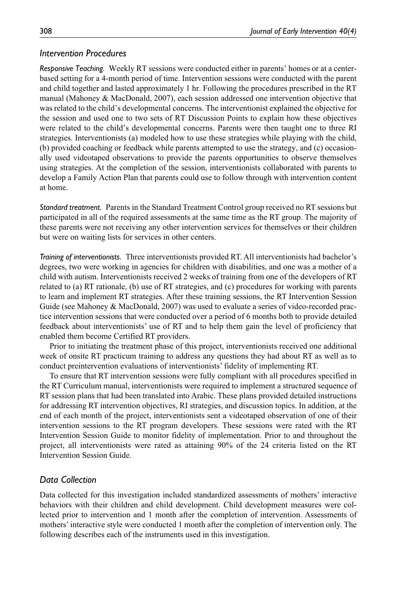# *Intervention Procedures*

*Responsive Teaching.* Weekly RT sessions were conducted either in parents' homes or at a centerbased setting for a 4-month period of time. Intervention sessions were conducted with the parent and child together and lasted approximately 1 hr. Following the procedures prescribed in the RT manual (Mahoney & MacDonald, 2007), each session addressed one intervention objective that was related to the child's developmental concerns. The interventionist explained the objective for the session and used one to two sets of RT Discussion Points to explain how these objectives were related to the child's developmental concerns. Parents were then taught one to three RI strategies. Interventionists (a) modeled how to use these strategies while playing with the child, (b) provided coaching or feedback while parents attempted to use the strategy, and (c) occasionally used videotaped observations to provide the parents opportunities to observe themselves using strategies. At the completion of the session, interventionists collaborated with parents to develop a Family Action Plan that parents could use to follow through with intervention content at home.

*Standard treatment.* Parents in the Standard Treatment Control group received no RT sessions but participated in all of the required assessments at the same time as the RT group. The majority of these parents were not receiving any other intervention services for themselves or their children but were on waiting lists for services in other centers.

*Training of interventionists.* Three interventionists provided RT. All interventionists had bachelor's degrees, two were working in agencies for children with disabilities, and one was a mother of a child with autism. Interventionists received 2 weeks of training from one of the developers of RT related to (a) RT rationale, (b) use of RT strategies, and (c) procedures for working with parents to learn and implement RT strategies. After these training sessions, the RT Intervention Session Guide (see Mahoney & MacDonald, 2007) was used to evaluate a series of video-recorded practice intervention sessions that were conducted over a period of 6 months both to provide detailed feedback about interventionists' use of RT and to help them gain the level of proficiency that enabled them become Certified RT providers.

Prior to initiating the treatment phase of this project, interventionists received one additional week of onsite RT practicum training to address any questions they had about RT as well as to conduct preintervention evaluations of interventionists' fidelity of implementing RT.

To ensure that RT intervention sessions were fully compliant with all procedures specified in the RT Curriculum manual, interventionists were required to implement a structured sequence of RT session plans that had been translated into Arabic. These plans provided detailed instructions for addressing RT intervention objectives, RI strategies, and discussion topics. In addition, at the end of each month of the project, interventionists sent a videotaped observation of one of their intervention sessions to the RT program developers. These sessions were rated with the RT Intervention Session Guide to monitor fidelity of implementation. Prior to and throughout the project, all interventionists were rated as attaining 90% of the 24 criteria listed on the RT Intervention Session Guide.

# *Data Collection*

Data collected for this investigation included standardized assessments of mothers' interactive behaviors with their children and child development. Child development measures were collected prior to intervention and 1 month after the completion of intervention. Assessments of mothers' interactive style were conducted 1 month after the completion of intervention only. The following describes each of the instruments used in this investigation.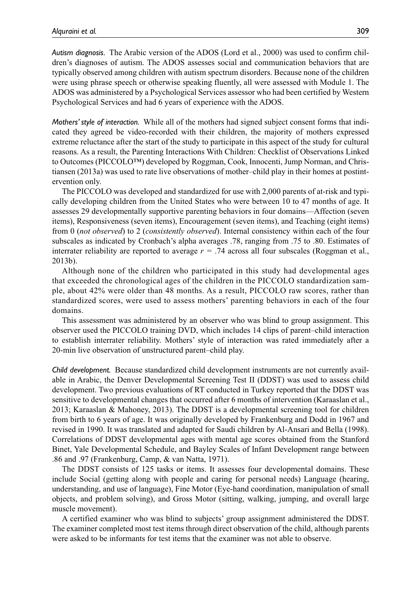*Autism diagnosis.* The Arabic version of the ADOS (Lord et al., 2000) was used to confirm children's diagnoses of autism. The ADOS assesses social and communication behaviors that are typically observed among children with autism spectrum disorders. Because none of the children were using phrase speech or otherwise speaking fluently, all were assessed with Module 1. The ADOS was administered by a Psychological Services assessor who had been certified by Western Psychological Services and had 6 years of experience with the ADOS.

*Mothers' style of interaction.* While all of the mothers had signed subject consent forms that indicated they agreed be video-recorded with their children, the majority of mothers expressed extreme reluctance after the start of the study to participate in this aspect of the study for cultural reasons. As a result, the Parenting Interactions With Children: Checklist of Observations Linked to Outcomes (PICCOLO™) developed by Roggman, Cook, Innocenti, Jump Norman, and Christiansen (2013a) was used to rate live observations of mother–child play in their homes at postintervention only.

The PICCOLO was developed and standardized for use with 2,000 parents of at-risk and typically developing children from the United States who were between 10 to 47 months of age. It assesses 29 developmentally supportive parenting behaviors in four domains—Affection (seven items), Responsiveness (seven items), Encouragement (seven items), and Teaching (eight items) from 0 (*not observed*) to 2 (*consistently observed*). Internal consistency within each of the four subscales as indicated by Cronbach's alpha averages .78, ranging from .75 to .80. Estimates of interrater reliability are reported to average  $r = .74$  across all four subscales (Roggman et al., 2013b).

Although none of the children who participated in this study had developmental ages that exceeded the chronological ages of the children in the PICCOLO standardization sample, about 42% were older than 48 months. As a result, PICCOLO raw scores, rather than standardized scores, were used to assess mothers' parenting behaviors in each of the four domains.

This assessment was administered by an observer who was blind to group assignment. This observer used the PICCOLO training DVD, which includes 14 clips of parent–child interaction to establish interrater reliability. Mothers' style of interaction was rated immediately after a 20-min live observation of unstructured parent–child play.

*Child development.* Because standardized child development instruments are not currently available in Arabic, the Denver Developmental Screening Test II (DDST) was used to assess child development. Two previous evaluations of RT conducted in Turkey reported that the DDST was sensitive to developmental changes that occurred after 6 months of intervention (Karaaslan et al., 2013; Karaaslan & Mahoney, 2013). The DDST is a developmental screening tool for children from birth to 6 years of age. It was originally developed by Frankenburg and Dodd in 1967 and revised in 1990. It was translated and adapted for Saudi children by Al-Ansari and Bella (1998). Correlations of DDST developmental ages with mental age scores obtained from the Stanford Binet, Yale Developmental Schedule, and Bayley Scales of Infant Development range between .86 and .97 (Frankenburg, Camp, & van Natta, 1971).

The DDST consists of 125 tasks or items. It assesses four developmental domains. These include Social (getting along with people and caring for personal needs) Language (hearing, understanding, and use of language), Fine Motor (Eye-hand coordination, manipulation of small objects, and problem solving), and Gross Motor (sitting, walking, jumping, and overall large muscle movement).

A certified examiner who was blind to subjects' group assignment administered the DDST. The examiner completed most test items through direct observation of the child, although parents were asked to be informants for test items that the examiner was not able to observe.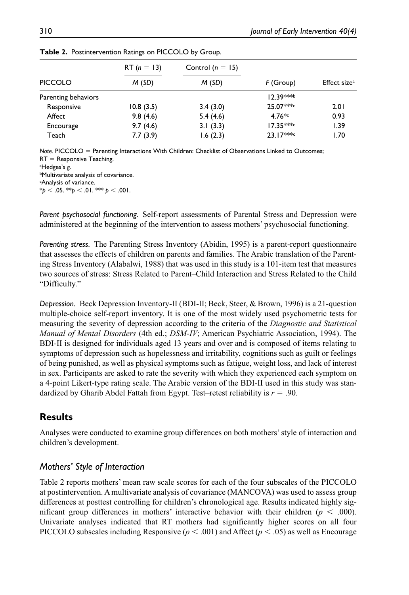| <b>PICCOLO</b>      | RT $(n = 13)$ | Control ( $n = 15$ ) |                    | Effect size <sup>a</sup> |
|---------------------|---------------|----------------------|--------------------|--------------------------|
|                     | M(SD)         | M(SD)                | F (Group)          |                          |
| Parenting behaviors |               |                      | $12.39***b$        |                          |
| Responsive          | 10.8(3.5)     | 3.4(3.0)             | 25.07***           | 2.01                     |
| Affect              | 9.8(4.6)      | 5.4(4.6)             | 4.76 <sup>*c</sup> | 0.93                     |
| Encourage           | 9.7(4.6)      | 3.1(3.3)             | $17.35***$         | 1.39                     |
| Teach               | 7.7(3.9)      | 1.6(2.3)             | 23.17***c          | 1.70                     |
|                     |               |                      |                    |                          |

**Table 2.** Postintervention Ratings on PICCOLO by Group.

*Note.* PICCOLO = Parenting Interactions With Children: Checklist of Observations Linked to Outcomes;  $RT =$  Responsive Teaching.

a Hedges's *g*. **Multivariate analysis of covariance.** cAnalysis of variance.

 $*_p$  < .05.  $*_p$  < .01.  $**_p$  < .001.

*Parent psychosocial functioning.* Self-report assessments of Parental Stress and Depression were administered at the beginning of the intervention to assess mothers' psychosocial functioning.

*Parenting stress.* The Parenting Stress Inventory (Abidin, 1995) is a parent-report questionnaire that assesses the effects of children on parents and families. The Arabic translation of the Parenting Stress Inventory (Alabalwi, 1988) that was used in this study is a 101-item test that measures two sources of stress: Stress Related to Parent–Child Interaction and Stress Related to the Child "Difficulty."

*Depression.* Beck Depression Inventory-II (BDI-II; Beck, Steer, & Brown, 1996) is a 21-question multiple-choice self-report inventory. It is one of the most widely used psychometric tests for measuring the severity of depression according to the criteria of the *Diagnostic and Statistical Manual of Mental Disorders* (4th ed.; *DSM-IV*; American Psychiatric Association, 1994). The BDI-II is designed for individuals aged 13 years and over and is composed of items relating to symptoms of depression such as hopelessness and irritability, cognitions such as guilt or feelings of being punished, as well as physical symptoms such as fatigue, weight loss, and lack of interest in sex. Participants are asked to rate the severity with which they experienced each symptom on a 4-point Likert-type rating scale. The Arabic version of the BDI-II used in this study was standardized by Gharib Abdel Fattah from Egypt. Test–retest reliability is  $r = .90$ .

# **Results**

Analyses were conducted to examine group differences on both mothers' style of interaction and children's development.

# *Mothers' Style of Interaction*

Table 2 reports mothers' mean raw scale scores for each of the four subscales of the PICCOLO at postintervention. A multivariate analysis of covariance (MANCOVA) was used to assess group differences at posttest controlling for children's chronological age. Results indicated highly significant group differences in mothers' interactive behavior with their children ( $p < .000$ ). Univariate analyses indicated that RT mothers had significantly higher scores on all four PICCOLO subscales including Responsive ( $p < .001$ ) and Affect ( $p < .05$ ) as well as Encourage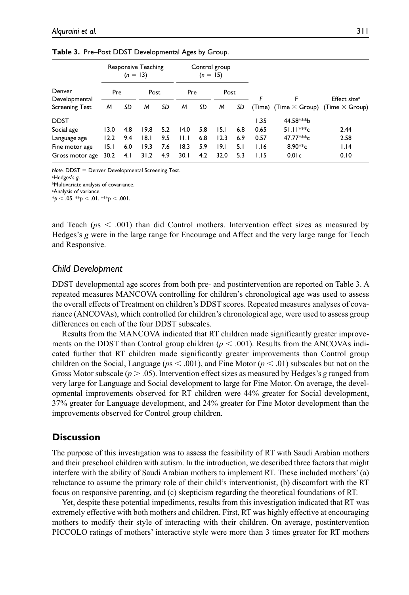| Denver<br>Developmental<br><b>Screening Test</b> | <b>Responsive Teaching</b><br>$(n = 13)$ |     |      | Control group<br>$(n = 15)$ |      |     |      |     |      |                                                    |                          |
|--------------------------------------------------|------------------------------------------|-----|------|-----------------------------|------|-----|------|-----|------|----------------------------------------------------|--------------------------|
|                                                  | Pre                                      |     | Post |                             | Pre  |     | Post |     | F    | F                                                  | Effect size <sup>a</sup> |
|                                                  | м                                        | SD  | M    | SD                          | M    | SD  | M    | SD  |      | (Time) (Time $\times$ Group) (Time $\times$ Group) |                          |
| <b>DDST</b>                                      |                                          |     |      |                             |      |     |      |     | 1.35 | 44.58***b                                          |                          |
| Social age                                       | 13.0                                     | 4.8 | 19.8 | 5.2                         | 14.0 | 5.8 | 15.1 | 6.8 | 0.65 | $51.11***c$                                        | 2.44                     |
| Language age                                     | 12.2                                     | 9.4 | 18.1 | 9.5                         | 11.1 | 6.8 | 12.3 | 6.9 | 0.57 | 47.77***c                                          | 2.58                     |
| Fine motor age                                   | 15.1                                     | 6.0 | 19.3 | 7.6                         | 18.3 | 5.9 | 19.1 | 5.1 | 1.16 | $8.90**c$                                          | 1.14                     |
| Gross motor age                                  | 30.2                                     | 4.1 | 31.2 | 4.9                         | 30.1 | 4.2 | 32.0 | 5.3 | 1.15 | 0.01c                                              | 0.10                     |

**Table 3.** Pre–Post DDST Developmental Ages by Group.

*Note.* DDST = Denver Developmental Screening Test.

a Hedges's *g*.

**bMultivariate analysis of covariance.** 

cAnalysis of variance.

\**p* < .05. \*\**p* < .01. \*\*\**p* < .001.

and Teach ( $p_s < .001$ ) than did Control mothers. Intervention effect sizes as measured by Hedges's *g* were in the large range for Encourage and Affect and the very large range for Teach and Responsive.

### *Child Development*

DDST developmental age scores from both pre- and postintervention are reported on Table 3. A repeated measures MANCOVA controlling for children's chronological age was used to assess the overall effects of Treatment on children's DDST scores. Repeated measures analyses of covariance (ANCOVAs), which controlled for children's chronological age, were used to assess group differences on each of the four DDST subscales.

Results from the MANCOVA indicated that RT children made significantly greater improvements on the DDST than Control group children  $(p < .001)$ . Results from the ANCOVAs indicated further that RT children made significantly greater improvements than Control group children on the Social, Language ( $p s < .001$ ), and Fine Motor ( $p < .01$ ) subscales but not on the Gross Motor subscale (*p* > .05). Intervention effect sizes as measured by Hedges's *g* ranged from very large for Language and Social development to large for Fine Motor. On average, the developmental improvements observed for RT children were 44% greater for Social development, 37% greater for Language development, and 24% greater for Fine Motor development than the improvements observed for Control group children.

### **Discussion**

The purpose of this investigation was to assess the feasibility of RT with Saudi Arabian mothers and their preschool children with autism. In the introduction, we described three factors that might interfere with the ability of Saudi Arabian mothers to implement RT. These included mothers' (a) reluctance to assume the primary role of their child's interventionist, (b) discomfort with the RT focus on responsive parenting, and (c) skepticism regarding the theoretical foundations of RT.

Yet, despite these potential impediments, results from this investigation indicated that RT was extremely effective with both mothers and children. First, RT was highly effective at encouraging mothers to modify their style of interacting with their children. On average, postintervention PICCOLO ratings of mothers' interactive style were more than 3 times greater for RT mothers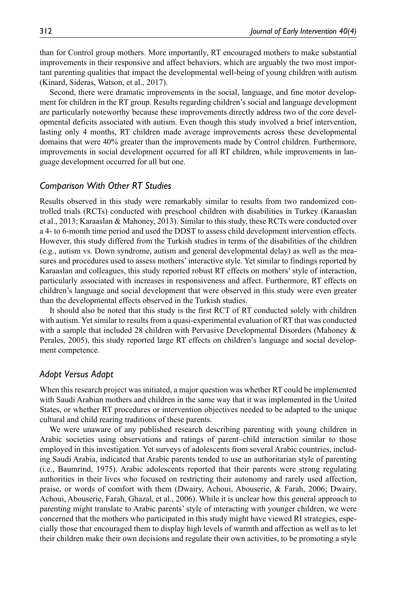than for Control group mothers. More importantly, RT encouraged mothers to make substantial improvements in their responsive and affect behaviors, which are arguably the two most important parenting qualities that impact the developmental well-being of young children with autism (Kinard, Sideras, Watson, et al., 2017).

Second, there were dramatic improvements in the social, language, and fine motor development for children in the RT group. Results regarding children's social and language development are particularly noteworthy because these improvements directly address two of the core developmental deficits associated with autism. Even though this study involved a brief intervention, lasting only 4 months, RT children made average improvements across these developmental domains that were 40% greater than the improvements made by Control children. Furthermore, improvements in social development occurred for all RT children, while improvements in language development occurred for all but one.

### *Comparison With Other RT Studies*

Results observed in this study were remarkably similar to results from two randomized controlled trials (RCTs) conducted with preschool children with disabilities in Turkey (Karaaslan et al., 2013; Karaaslan & Mahoney, 2013). Similar to this study, these RCTs were conducted over a 4- to 6-month time period and used the DDST to assess child development intervention effects. However, this study differed from the Turkish studies in terms of the disabilities of the children (e.g., autism vs. Down syndrome, autism and general developmental delay) as well as the measures and procedures used to assess mothers' interactive style. Yet similar to findings reported by Karaaslan and colleagues, this study reported robust RT effects on mothers' style of interaction, particularly associated with increases in responsiveness and affect. Furthermore, RT effects on children's language and social development that were observed in this study were even greater than the developmental effects observed in the Turkish studies.

It should also be noted that this study is the first RCT of RT conducted solely with children with autism. Yet similar to results from a quasi-experimental evaluation of RT that was conducted with a sample that included 28 children with Pervasive Developmental Disorders (Mahoney  $\&$ Perales, 2005), this study reported large RT effects on children's language and social development competence.

### *Adopt Versus Adapt*

When this research project was initiated, a major question was whether RT could be implemented with Saudi Arabian mothers and children in the same way that it was implemented in the United States, or whether RT procedures or intervention objectives needed to be adapted to the unique cultural and child rearing traditions of these parents.

We were unaware of any published research describing parenting with young children in Arabic societies using observations and ratings of parent–child interaction similar to those employed in this investigation. Yet surveys of adolescents from several Arabic countries, including Saudi Arabia, indicated that Arabic parents tended to use an authoritarian style of parenting (i.e., Baumrind, 1975). Arabic adolescents reported that their parents were strong regulating authorities in their lives who focused on restricting their autonomy and rarely used affection, praise, or words of comfort with them (Dwairy, Achoui, Abouserie, & Farah, 2006; Dwairy, Achoui, Abouserie, Farah, Ghazal, et al., 2006). While it is unclear how this general approach to parenting might translate to Arabic parents' style of interacting with younger children, we were concerned that the mothers who participated in this study might have viewed RI strategies, especially those that encouraged them to display high levels of warmth and affection as well as to let their children make their own decisions and regulate their own activities, to be promoting a style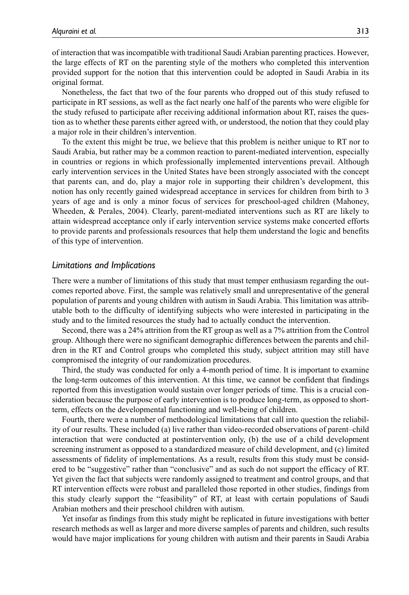of interaction that was incompatible with traditional Saudi Arabian parenting practices. However, the large effects of RT on the parenting style of the mothers who completed this intervention provided support for the notion that this intervention could be adopted in Saudi Arabia in its original format.

Nonetheless, the fact that two of the four parents who dropped out of this study refused to participate in RT sessions, as well as the fact nearly one half of the parents who were eligible for the study refused to participate after receiving additional information about RT, raises the question as to whether these parents either agreed with, or understood, the notion that they could play a major role in their children's intervention.

To the extent this might be true, we believe that this problem is neither unique to RT nor to Saudi Arabia, but rather may be a common reaction to parent-mediated intervention, especially in countries or regions in which professionally implemented interventions prevail. Although early intervention services in the United States have been strongly associated with the concept that parents can, and do, play a major role in supporting their children's development, this notion has only recently gained widespread acceptance in services for children from birth to 3 years of age and is only a minor focus of services for preschool-aged children (Mahoney, Wheeden, & Perales, 2004). Clearly, parent-mediated interventions such as RT are likely to attain widespread acceptance only if early intervention service systems make concerted efforts to provide parents and professionals resources that help them understand the logic and benefits of this type of intervention.

#### *Limitations and Implications*

There were a number of limitations of this study that must temper enthusiasm regarding the outcomes reported above. First, the sample was relatively small and unrepresentative of the general population of parents and young children with autism in Saudi Arabia. This limitation was attributable both to the difficulty of identifying subjects who were interested in participating in the study and to the limited resources the study had to actually conduct the intervention.

Second, there was a 24% attrition from the RT group as well as a 7% attrition from the Control group. Although there were no significant demographic differences between the parents and children in the RT and Control groups who completed this study, subject attrition may still have compromised the integrity of our randomization procedures.

Third, the study was conducted for only a 4-month period of time. It is important to examine the long-term outcomes of this intervention. At this time, we cannot be confident that findings reported from this investigation would sustain over longer periods of time. This is a crucial consideration because the purpose of early intervention is to produce long-term, as opposed to shortterm, effects on the developmental functioning and well-being of children.

Fourth, there were a number of methodological limitations that call into question the reliability of our results. These included (a) live rather than video-recorded observations of parent–child interaction that were conducted at postintervention only, (b) the use of a child development screening instrument as opposed to a standardized measure of child development, and (c) limited assessments of fidelity of implementations. As a result, results from this study must be considered to be "suggestive" rather than "conclusive" and as such do not support the efficacy of RT. Yet given the fact that subjects were randomly assigned to treatment and control groups, and that RT intervention effects were robust and paralleled those reported in other studies, findings from this study clearly support the "feasibility" of RT, at least with certain populations of Saudi Arabian mothers and their preschool children with autism.

Yet insofar as findings from this study might be replicated in future investigations with better research methods as well as larger and more diverse samples of parents and children, such results would have major implications for young children with autism and their parents in Saudi Arabia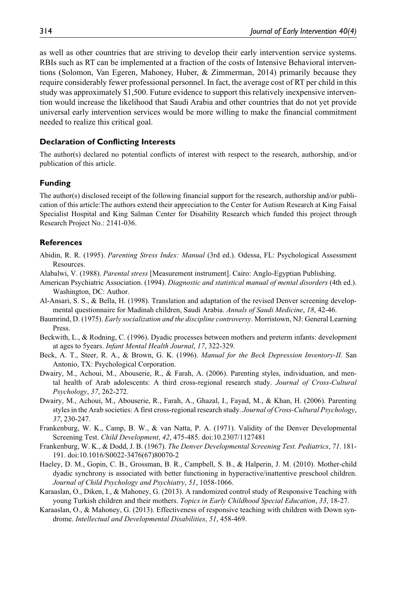as well as other countries that are striving to develop their early intervention service systems. RBIs such as RT can be implemented at a fraction of the costs of Intensive Behavioral interventions (Solomon, Van Egeren, Mahoney, Huber, & Zimmerman, 2014) primarily because they require considerably fewer professional personnel. In fact, the average cost of RT per child in this study was approximately \$1,500. Future evidence to support this relatively inexpensive intervention would increase the likelihood that Saudi Arabia and other countries that do not yet provide universal early intervention services would be more willing to make the financial commitment needed to realize this critical goal.

### **Declaration of Conflicting Interests**

The author(s) declared no potential conflicts of interest with respect to the research, authorship, and/or publication of this article.

#### **Funding**

The author(s) disclosed receipt of the following financial support for the research, authorship and/or publication of this article:The authors extend their appreciation to the Center for Autism Research at King Faisal Specialist Hospital and King Salman Center for Disability Research which funded this project through Research Project No.: 2141-036.

#### **References**

- Abidin, R. R. (1995). *Parenting Stress Index: Manual* (3rd ed.). Odessa, FL: Psychological Assessment Resources.
- Alabalwi, V. (1988). *Parental stress* [Measurement instrument]. Cairo: Anglo-Egyptian Publishing.
- American Psychiatric Association. (1994). *Diagnostic and statistical manual of mental disorders* (4th ed.). Washington, DC: Author.
- Al-Ansari, S. S., & Bella, H. (1998). Translation and adaptation of the revised Denver screening developmental questionnaire for Madinah children, Saudi Arabia. *Annals of Saudi Medicine*, *18*, 42-46.
- Baumrind, D. (1975). *Early socialization and the discipline controversy*. Morristown, NJ: General Learning Press.
- Beckwith, L., & Rodning, C. (1996). Dyadic processes between mothers and preterm infants: development at ages to 5years. *Infant Mental Health Journal*, *17*, 322-329.
- Beck, A. T., Steer, R. A., & Brown, G. K. (1996). *Manual for the Beck Depression Inventory-II*. San Antonio, TX: Psychological Corporation.
- Dwairy, M., Achoui, M., Abouserie, R., & Farah, A. (2006). Parenting styles, individuation, and mental health of Arab adolescents: A third cross-regional research study. *Journal of Cross-Cultural Psychology*, *37*, 262-272.
- Dwairy, M., Achoui, M., Abouserie, R., Farah, A., Ghazal, I., Fayad, M., & Khan, H. (2006). Parenting styles in the Arab societies: A first cross-regional research study. *Journal of Cross-Cultural Psychology*, *37*, 230-247.
- Frankenburg, W. K., Camp, B. W., & van Natta, P. A. (1971). Validity of the Denver Developmental Screening Test. *Child Development*, *42*, 475-485. doi:10.2307/1127481
- Frankenburg, W. K., & Dodd, J. B. (1967). *The Denver Developmental Screening Test*. *Pediatrics*, *71*. 181- 191. doi:10.1016/S0022-3476(67)80070-2
- Haeley, D. M., Gopin, C. B., Grossman, B. R., Campbell, S. B., & Halperin, J. M. (2010). Mother-child dyadic synchrony is associated with better functioning in hyperactive/inattentive preschool children. *Journal of Child Psychology and Psychiatry*, *51*, 1058-1066.
- Karaaslan, O., Diken, I., & Mahoney, G. (2013). A randomized control study of Responsive Teaching with young Turkish children and their mothers. *Topics in Early Childhood Special Education*, *33*, 18-27.
- Karaaslan, O., & Mahoney, G. (2013). Effectiveness of responsive teaching with children with Down syndrome. *Intellectual and Developmental Disabilities*, *51*, 458-469.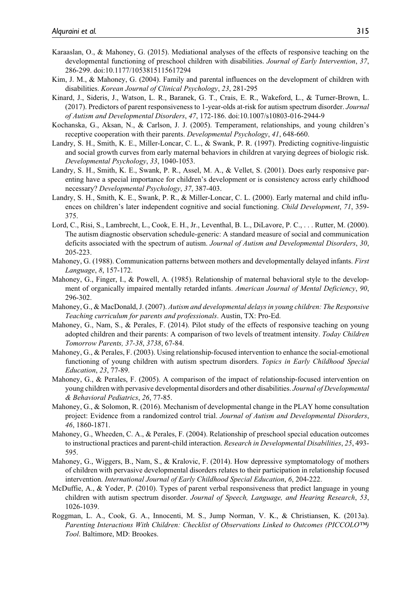- Karaaslan, O., & Mahoney, G. (2015). Mediational analyses of the effects of responsive teaching on the developmental functioning of preschool children with disabilities. *Journal of Early Intervention*, *37*, 286-299. doi:10.1177/1053815115617294
- Kim, J. M., & Mahoney, G. (2004). Family and parental influences on the development of children with disabilities. *Korean Journal of Clinical Psychology*, *23*, 281-295
- Kinard, J., Sideris, J., Watson, L. R., Baranek, G. T., Crais, E. R., Wakeford, L., & Turner-Brown, L. (2017). Predictors of parent responsiveness to 1-year-olds at-risk for autism spectrum disorder. *Journal of Autism and Developmental Disorders*, *47*, 172-186. doi:10.1007/s10803-016-2944-9
- Kochanska, G., Aksan, N., & Carlson, J. J. (2005). Temperament, relationships, and young children's receptive cooperation with their parents. *Developmental Psychology*, *41*, 648-660.
- Landry, S. H., Smith, K. E., Miller-Loncar, C. L., & Swank, P. R. (1997). Predicting cognitive-linguistic and social growth curves from early maternal behaviors in children at varying degrees of biologic risk. *Developmental Psychology*, *33*, 1040-1053.
- Landry, S. H., Smith, K. E., Swank, P. R., Assel, M. A., & Vellet, S. (2001). Does early responsive parenting have a special importance for children's development or is consistency across early childhood necessary? *Developmental Psychology*, *37*, 387-403.
- Landry, S. H., Smith, K. E., Swank, P. R., & Miller-Loncar, C. L. (2000). Early maternal and child influences on children's later independent cognitive and social functioning. *Child Development*, *71*, 359- 375.
- Lord, C., Risi, S., Lambrecht, L., Cook, E. H., Jr., Leventhal, B. L., DiLavore, P. C., . . . Rutter, M. (2000). The autism diagnostic observation schedule-generic: A standard measure of social and communication deficits associated with the spectrum of autism. *Journal of Autism and Developmental Disorders*, *30*, 205-223.
- Mahoney, G. (1988). Communication patterns between mothers and developmentally delayed infants. *First Language*, *8*, 157-172.
- Mahoney, G., Finger, I., & Powell, A. (1985). Relationship of maternal behavioral style to the development of organically impaired mentally retarded infants. *American Journal of Mental Deficiency*, *90*, 296-302.
- Mahoney, G., & MacDonald, J. (2007). *Autism and developmental delays in young children: The Responsive Teaching curriculum for parents and professionals*. Austin, TX: Pro-Ed.
- Mahoney, G., Nam, S., & Perales, F. (2014). Pilot study of the effects of responsive teaching on young adopted children and their parents: A comparison of two levels of treatment intensity. *Today Children Tomorrow Parents, 37-38*, *3738*, 67-84.
- Mahoney, G., & Perales, F. (2003). Using relationship-focused intervention to enhance the social-emotional functioning of young children with autism spectrum disorders. *Topics in Early Childhood Special Education*, *23*, 77-89.
- Mahoney, G., & Perales, F. (2005). A comparison of the impact of relationship-focused intervention on young children with pervasive developmental disorders and other disabilities. *Journal of Developmental & Behavioral Pediatrics*, *26*, 77-85.
- Mahoney, G., & Solomon, R. (2016). Mechanism of developmental change in the PLAY home consultation project: Evidence from a randomized control trial. *Journal of Autism and Developmental Disorders*, *46*, 1860-1871.
- Mahoney, G., Wheeden, C. A., & Perales, F. (2004). Relationship of preschool special education outcomes to instructional practices and parent-child interaction. *Research in Developmental Disabilities*, *25*, 493- 595.
- Mahoney, G., Wiggers, B., Nam, S., & Kralovic, F. (2014). How depressive symptomatology of mothers of children with pervasive developmental disorders relates to their participation in relationship focused intervention. *International Journal of Early Childhood Special Education*, *6*, 204-222.
- McDuffie, A., & Yoder, P. (2010). Types of parent verbal responsiveness that predict language in young children with autism spectrum disorder. *Journal of Speech, Language, and Hearing Research*, *53*, 1026-1039.
- Roggman, L. A., Cook, G. A., Innocenti, M. S., Jump Norman, V. K., & Christiansen, K. (2013a). *Parenting Interactions With Children: Checklist of Observations Linked to Outcomes (PICCOLO™) Tool*. Baltimore, MD: Brookes.